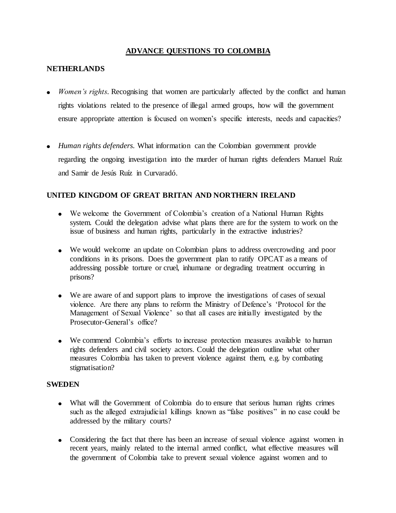# **ADVANCE QUESTIONS TO COLOMBIA**

### **NETHERLANDS**

- *Women's rights.* Recognising that women are particularly affected by the conflict and human rights violations related to the presence of illegal armed groups, how will the government ensure appropriate attention is focused on women's specific interests, needs and capacities?
- *Human rights defenders.* What information can the Colombian government provide regarding the ongoing investigation into the murder of human rights defenders Manuel Ruíz and Samir de Jesús Ruíz in Curvaradó.

### **UNITED KINGDOM OF GREAT BRITAN AND NORTHERN IRELAND**

- We welcome the Government of Colombia's creation of a National Human Rights system. Could the delegation advise what plans there are for the system to work on the issue of business and human rights, particularly in the extractive industries?
- We would welcome an update on Colombian plans to address overcrowding and poor conditions in its prisons. Does the government plan to ratify OPCAT as a means of addressing possible torture or cruel, inhumane or degrading treatment occurring in prisons?
- We are aware of and support plans to improve the investigations of cases of sexual violence. Are there any plans to reform the Ministry of Defence's 'Protocol for the Management of Sexual Violence' so that all cases are initially investigated by the Prosecutor-General's office?
- We commend Colombia's efforts to increase protection measures available to human rights defenders and civil society actors. Could the delegation outline what other measures Colombia has taken to prevent violence against them, e.g. by combating stigmatisation?

## **SWEDEN**

- What will the Government of Colombia do to ensure that serious human rights crimes such as the alleged extrajudicial killings known as "false positives" in no case could be addressed by the military courts?
- Considering the fact that there has been an increase of sexual violence against women in recent years, mainly related to the internal armed conflict, what effective measures will the government of Colombia take to prevent sexual violence against women and to